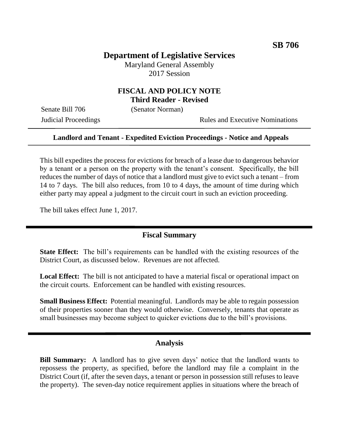# **Department of Legislative Services**

Maryland General Assembly 2017 Session

# **FISCAL AND POLICY NOTE Third Reader - Revised**

Senate Bill 706 (Senator Norman)

Judicial Proceedings **Rules** and Executive Nominations

#### **Landlord and Tenant - Expedited Eviction Proceedings - Notice and Appeals**

This bill expedites the process for evictions for breach of a lease due to dangerous behavior by a tenant or a person on the property with the tenant's consent. Specifically, the bill reduces the number of days of notice that a landlord must give to evict such a tenant – from 14 to 7 days. The bill also reduces, from 10 to 4 days, the amount of time during which either party may appeal a judgment to the circuit court in such an eviction proceeding.

The bill takes effect June 1, 2017.

### **Fiscal Summary**

**State Effect:** The bill's requirements can be handled with the existing resources of the District Court, as discussed below. Revenues are not affected.

**Local Effect:** The bill is not anticipated to have a material fiscal or operational impact on the circuit courts. Enforcement can be handled with existing resources.

**Small Business Effect:** Potential meaningful. Landlords may be able to regain possession of their properties sooner than they would otherwise. Conversely, tenants that operate as small businesses may become subject to quicker evictions due to the bill's provisions.

### **Analysis**

**Bill Summary:** A landlord has to give seven days' notice that the landlord wants to repossess the property, as specified, before the landlord may file a complaint in the District Court (if, after the seven days, a tenant or person in possession still refuses to leave the property). The seven-day notice requirement applies in situations where the breach of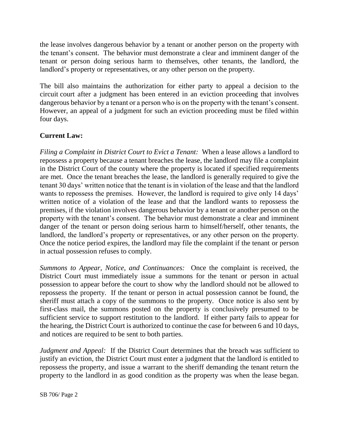the lease involves dangerous behavior by a tenant or another person on the property with the tenant's consent. The behavior must demonstrate a clear and imminent danger of the tenant or person doing serious harm to themselves, other tenants, the landlord, the landlord's property or representatives, or any other person on the property.

The bill also maintains the authorization for either party to appeal a decision to the circuit court after a judgment has been entered in an eviction proceeding that involves dangerous behavior by a tenant or a person who is on the property with the tenant's consent. However, an appeal of a judgment for such an eviction proceeding must be filed within four days.

# **Current Law:**

*Filing a Complaint in District Court to Evict a Tenant:* When a lease allows a landlord to repossess a property because a tenant breaches the lease, the landlord may file a complaint in the District Court of the county where the property is located if specified requirements are met. Once the tenant breaches the lease, the landlord is generally required to give the tenant 30 days' written notice that the tenant is in violation of the lease and that the landlord wants to repossess the premises. However, the landlord is required to give only 14 days' written notice of a violation of the lease and that the landlord wants to repossess the premises, if the violation involves dangerous behavior by a tenant or another person on the property with the tenant's consent. The behavior must demonstrate a clear and imminent danger of the tenant or person doing serious harm to himself/herself, other tenants, the landlord, the landlord's property or representatives, or any other person on the property. Once the notice period expires, the landlord may file the complaint if the tenant or person in actual possession refuses to comply.

*Summons to Appear, Notice, and Continuances:* Once the complaint is received, the District Court must immediately issue a summons for the tenant or person in actual possession to appear before the court to show why the landlord should not be allowed to repossess the property. If the tenant or person in actual possession cannot be found, the sheriff must attach a copy of the summons to the property. Once notice is also sent by first-class mail, the summons posted on the property is conclusively presumed to be sufficient service to support restitution to the landlord. If either party fails to appear for the hearing, the District Court is authorized to continue the case for between 6 and 10 days, and notices are required to be sent to both parties.

*Judgment and Appeal:* If the District Court determines that the breach was sufficient to justify an eviction, the District Court must enter a judgment that the landlord is entitled to repossess the property, and issue a warrant to the sheriff demanding the tenant return the property to the landlord in as good condition as the property was when the lease began.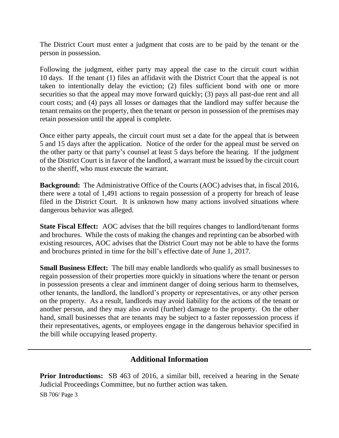The District Court must enter a judgment that costs are to be paid by the tenant or the person in possession.

Following the judgment, either party may appeal the case to the circuit court within 10 days. If the tenant (1) files an affidavit with the District Court that the appeal is not taken to intentionally delay the eviction; (2) files sufficient bond with one or more securities so that the appeal may move forward quickly; (3) pays all past-due rent and all court costs; and (4) pays all losses or damages that the landlord may suffer because the tenant remains on the property, then the tenant or person in possession of the premises may retain possession until the appeal is complete.

Once either party appeals, the circuit court must set a date for the appeal that is between 5 and 15 days after the application. Notice of the order for the appeal must be served on the other party or that party's counsel at least 5 days before the hearing. If the judgment of the District Court is in favor of the landlord, a warrant must be issued by the circuit court to the sheriff, who must execute the warrant.

**Background:** The Administrative Office of the Courts (AOC) advises that, in fiscal 2016, there were a total of 1,491 actions to regain possession of a property for breach of lease filed in the District Court. It is unknown how many actions involved situations where dangerous behavior was alleged.

**State Fiscal Effect:** AOC advises that the bill requires changes to landlord/tenant forms and brochures. While the costs of making the changes and reprinting can be absorbed with existing resources, AOC advises that the District Court may not be able to have the forms and brochures printed in time for the bill's effective date of June 1, 2017.

**Small Business Effect:** The bill may enable landlords who qualify as small businesses to regain possession of their properties more quickly in situations where the tenant or person in possession presents a clear and imminent danger of doing serious harm to themselves, other tenants, the landlord, the landlord's property or representatives, or any other person on the property. As a result, landlords may avoid liability for the actions of the tenant or another person, and they may also avoid (further) damage to the property. On the other hand, small businesses that are tenants may be subject to a faster repossession process if their representatives, agents, or employees engage in the dangerous behavior specified in the bill while occupying leased property.

# **Additional Information**

**Prior Introductions:** SB 463 of 2016, a similar bill, received a hearing in the Senate Judicial Proceedings Committee, but no further action was taken.

SB 706/ Page 3